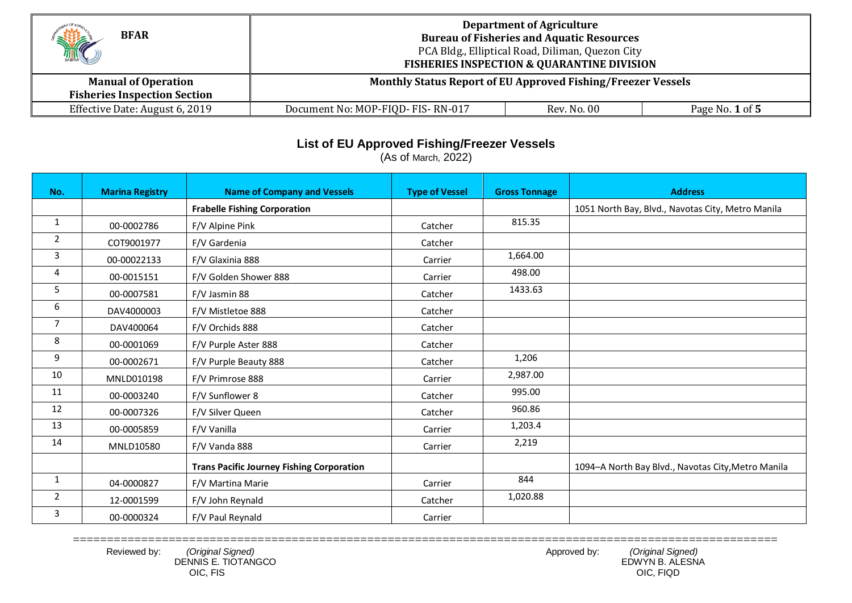| <b>BFAR</b><br>MC                                                 | <b>Department of Agriculture</b><br><b>Bureau of Fisheries and Aquatic Resources</b><br>PCA Bldg., Elliptical Road, Diliman, Quezon City<br><b>FISHERIES INSPECTION &amp; QUARANTINE DIVISION</b> |             |                 |  |
|-------------------------------------------------------------------|---------------------------------------------------------------------------------------------------------------------------------------------------------------------------------------------------|-------------|-----------------|--|
| <b>Manual of Operation</b><br><b>Fisheries Inspection Section</b> | Monthly Status Report of EU Approved Fishing/Freezer Vessels                                                                                                                                      |             |                 |  |
| Effective Date: August 6, 2019                                    | Document No: MOP-FIQD-FIS-RN-017                                                                                                                                                                  | Rev. No. 00 | Page No. 1 of 5 |  |

## **List of EU Approved Fishing/Freezer Vessels**

(As of March, 2022)

| No.            | <b>Marina Registry</b> | <b>Name of Company and Vessels</b>               | <b>Type of Vessel</b> | <b>Gross Tonnage</b> | <b>Address</b>                                     |
|----------------|------------------------|--------------------------------------------------|-----------------------|----------------------|----------------------------------------------------|
|                |                        | <b>Frabelle Fishing Corporation</b>              |                       |                      | 1051 North Bay, Blvd., Navotas City, Metro Manila  |
| $\mathbf{1}$   | 00-0002786             | F/V Alpine Pink                                  | Catcher               | 815.35               |                                                    |
| $\overline{2}$ | COT9001977             | F/V Gardenia                                     | Catcher               |                      |                                                    |
| 3              | 00-00022133            | F/V Glaxinia 888                                 | Carrier               | 1,664.00             |                                                    |
| 4              | 00-0015151             | F/V Golden Shower 888                            | Carrier               | 498.00               |                                                    |
| 5              | 00-0007581             | F/V Jasmin 88                                    | Catcher               | 1433.63              |                                                    |
| 6              | DAV4000003             | F/V Mistletoe 888                                | Catcher               |                      |                                                    |
| $\overline{7}$ | DAV400064              | F/V Orchids 888                                  | Catcher               |                      |                                                    |
| 8              | 00-0001069             | F/V Purple Aster 888                             | Catcher               |                      |                                                    |
| 9              | 00-0002671             | F/V Purple Beauty 888                            | Catcher               | 1,206                |                                                    |
| 10             | MNLD010198             | F/V Primrose 888                                 | Carrier               | 2,987.00             |                                                    |
| 11             | 00-0003240             | F/V Sunflower 8                                  | Catcher               | 995.00               |                                                    |
| 12             | 00-0007326             | F/V Silver Queen                                 | Catcher               | 960.86               |                                                    |
| 13             | 00-0005859             | F/V Vanilla                                      | Carrier               | 1,203.4              |                                                    |
| 14             | MNLD10580              | F/V Vanda 888                                    | Carrier               | 2,219                |                                                    |
|                |                        | <b>Trans Pacific Journey Fishing Corporation</b> |                       |                      | 1094-A North Bay Blvd., Navotas City, Metro Manila |
| 1              | 04-0000827             | F/V Martina Marie                                | Carrier               | 844                  |                                                    |
| $\overline{2}$ | 12-0001599             | F/V John Reynald                                 | Catcher               | 1,020.88             |                                                    |
| 3              | 00-0000324             | F/V Paul Reynald                                 | Carrier               |                      |                                                    |

OIC, FIS OIC, FIQD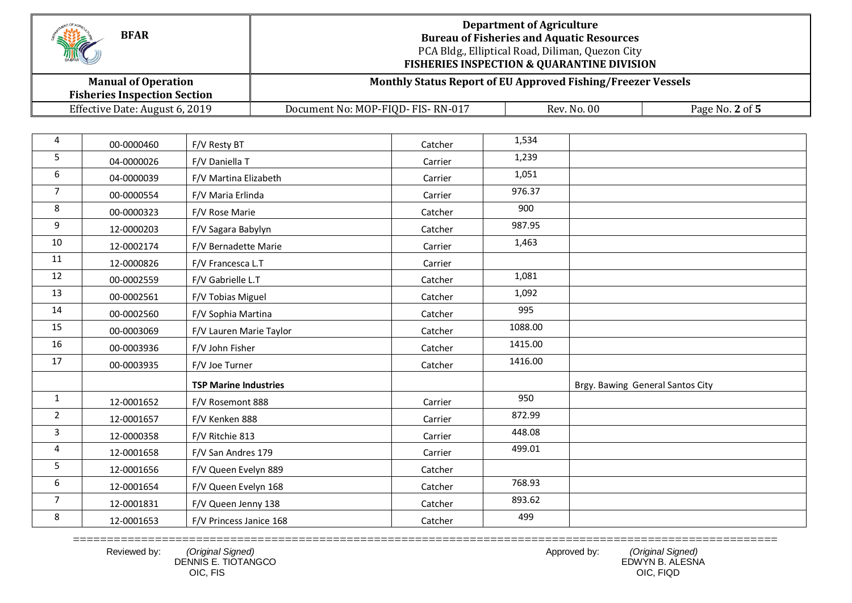| <b>BFAR</b><br>THE                                                | <b>Department of Agriculture</b><br><b>Bureau of Fisheries and Aquatic Resources</b><br>PCA Bldg., Elliptical Road, Diliman, Quezon City<br><b>FISHERIES INSPECTION &amp; QUARANTINE DIVISION</b> |  |  |  |
|-------------------------------------------------------------------|---------------------------------------------------------------------------------------------------------------------------------------------------------------------------------------------------|--|--|--|
| <b>Manual of Operation</b><br><b>Fisheries Inspection Section</b> | Monthly Status Report of EU Approved Fishing/Freezer Vessels                                                                                                                                      |  |  |  |
| Effective Date: August 6, 2019                                    | Document No: MOP-FIQD- FIS-RN-017<br>Rev. No. 00<br>Page No. 2 of 5                                                                                                                               |  |  |  |

| 4              | 00-0000460 | F/V Resty BT                 | Catcher | 1,534   |                                  |
|----------------|------------|------------------------------|---------|---------|----------------------------------|
| 5              | 04-0000026 | F/V Daniella T               | Carrier | 1,239   |                                  |
| 6              | 04-0000039 | F/V Martina Elizabeth        | Carrier | 1,051   |                                  |
| $\overline{7}$ | 00-0000554 | F/V Maria Erlinda            | Carrier | 976.37  |                                  |
| 8              | 00-0000323 | F/V Rose Marie               | Catcher | 900     |                                  |
| 9              | 12-0000203 | F/V Sagara Babylyn           | Catcher | 987.95  |                                  |
| 10             | 12-0002174 | F/V Bernadette Marie         | Carrier | 1,463   |                                  |
| 11             | 12-0000826 | F/V Francesca L.T            | Carrier |         |                                  |
| 12             | 00-0002559 | F/V Gabrielle L.T            | Catcher | 1,081   |                                  |
| 13             | 00-0002561 | F/V Tobias Miguel            | Catcher | 1,092   |                                  |
| 14             | 00-0002560 | F/V Sophia Martina           | Catcher | 995     |                                  |
| 15             | 00-0003069 | F/V Lauren Marie Taylor      | Catcher | 1088.00 |                                  |
| 16             | 00-0003936 | F/V John Fisher              | Catcher | 1415.00 |                                  |
| 17             | 00-0003935 | F/V Joe Turner               | Catcher | 1416.00 |                                  |
|                |            | <b>TSP Marine Industries</b> |         |         | Brgy. Bawing General Santos City |
| $\mathbf{1}$   | 12-0001652 | F/V Rosemont 888             | Carrier | 950     |                                  |
| $\overline{2}$ | 12-0001657 | F/V Kenken 888               | Carrier | 872.99  |                                  |
| $\overline{3}$ | 12-0000358 | F/V Ritchie 813              | Carrier | 448.08  |                                  |
| 4              | 12-0001658 | F/V San Andres 179           | Carrier | 499.01  |                                  |
| 5              | 12-0001656 | F/V Queen Evelyn 889         | Catcher |         |                                  |
| 6              | 12-0001654 | F/V Queen Evelyn 168         | Catcher | 768.93  |                                  |
| $\overline{7}$ | 12-0001831 | F/V Queen Jenny 138          | Catcher | 893.62  |                                  |
| 8              | 12-0001653 | F/V Princess Janice 168      | Catcher | 499     |                                  |

=======================================================================================================

 DENNIS E. TIOTANGCO EDWYN B. ALESNA OIC, FIS OIC, FIQD

Reviewed by: *(Original Signed)* and the viewed by: *(Original Signed)* Approved by: *(Original Signed)*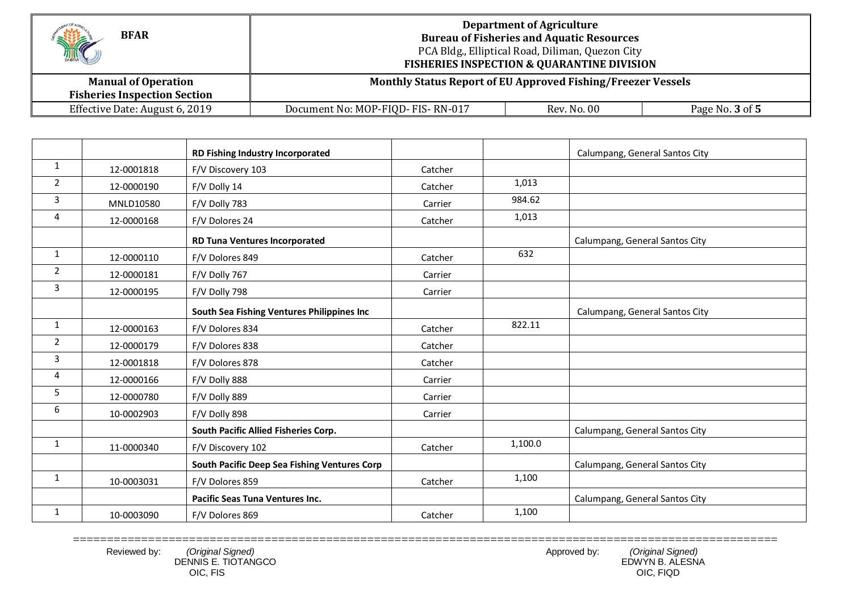| <b>BFAR</b><br>MC                                                 | <b>Department of Agriculture</b><br><b>Bureau of Fisheries and Aquatic Resources</b><br>PCA Bldg., Elliptical Road, Diliman, Quezon City<br><b>FISHERIES INSPECTION &amp; QUARANTINE DIVISION</b> |  |  |  |
|-------------------------------------------------------------------|---------------------------------------------------------------------------------------------------------------------------------------------------------------------------------------------------|--|--|--|
| <b>Manual of Operation</b><br><b>Fisheries Inspection Section</b> | Monthly Status Report of EU Approved Fishing/Freezer Vessels                                                                                                                                      |  |  |  |
| Effective Date: August 6, 2019                                    | Rev. No. 00<br>Document No: MOP-FIQD- FIS-RN-017<br>Page No. 3 of 5                                                                                                                               |  |  |  |

|                |            | RD Fishing Industry Incorporated             |         |         | Calumpang, General Santos City |
|----------------|------------|----------------------------------------------|---------|---------|--------------------------------|
| $\mathbf{1}$   | 12-0001818 | F/V Discovery 103                            | Catcher |         |                                |
| $\overline{2}$ | 12-0000190 | F/V Dolly 14                                 | Catcher | 1,013   |                                |
| 3              | MNLD10580  | F/V Dolly 783                                | Carrier | 984.62  |                                |
| 4              | 12-0000168 | F/V Dolores 24                               | Catcher | 1,013   |                                |
|                |            | <b>RD Tuna Ventures Incorporated</b>         |         |         | Calumpang, General Santos City |
| $\mathbf{1}$   | 12-0000110 | F/V Dolores 849                              | Catcher | 632     |                                |
| $\overline{2}$ | 12-0000181 | F/V Dolly 767                                | Carrier |         |                                |
| 3              | 12-0000195 | F/V Dolly 798                                | Carrier |         |                                |
|                |            | South Sea Fishing Ventures Philippines Inc   |         |         | Calumpang, General Santos City |
| $\mathbf{1}$   | 12-0000163 | F/V Dolores 834                              | Catcher | 822.11  |                                |
| $\overline{2}$ | 12-0000179 | F/V Dolores 838                              | Catcher |         |                                |
| 3              | 12-0001818 | F/V Dolores 878                              | Catcher |         |                                |
| 4              | 12-0000166 | F/V Dolly 888                                | Carrier |         |                                |
| 5              | 12-0000780 | F/V Dolly 889                                | Carrier |         |                                |
| 6              | 10-0002903 | F/V Dolly 898                                | Carrier |         |                                |
|                |            | South Pacific Allied Fisheries Corp.         |         |         | Calumpang, General Santos City |
| $\mathbf{1}$   | 11-0000340 | F/V Discovery 102                            | Catcher | 1,100.0 |                                |
|                |            | South Pacific Deep Sea Fishing Ventures Corp |         |         | Calumpang, General Santos City |
| $\mathbf{1}$   | 10-0003031 | F/V Dolores 859                              | Catcher | 1,100   |                                |
|                |            | <b>Pacific Seas Tuna Ventures Inc.</b>       |         |         | Calumpang, General Santos City |
| $\mathbf{1}$   | 10-0003090 | F/V Dolores 869                              | Catcher | 1,100   |                                |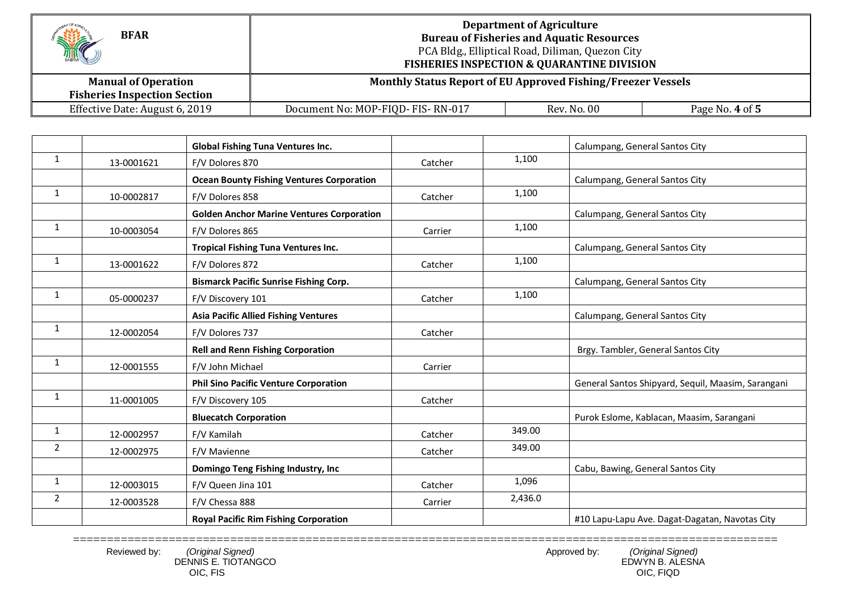| HIC<br><b>BFAR</b>                                                | <b>Department of Agriculture</b><br><b>Bureau of Fisheries and Aquatic Resources</b><br>PCA Bldg., Elliptical Road, Diliman, Quezon City<br><b>FISHERIES INSPECTION &amp; QUARANTINE DIVISION</b> |             |                 |  |
|-------------------------------------------------------------------|---------------------------------------------------------------------------------------------------------------------------------------------------------------------------------------------------|-------------|-----------------|--|
| <b>Manual of Operation</b><br><b>Fisheries Inspection Section</b> | Monthly Status Report of EU Approved Fishing/Freezer Vessels                                                                                                                                      |             |                 |  |
| Effective Date: August 6, 2019                                    | Document No: MOP-FIQD- FIS-RN-017                                                                                                                                                                 | Rev. No. 00 | Page No. 4 of 5 |  |

|                |            | <b>Global Fishing Tuna Ventures Inc.</b>         |         |         | Calumpang, General Santos City                     |
|----------------|------------|--------------------------------------------------|---------|---------|----------------------------------------------------|
| $\mathbf{1}$   | 13-0001621 | F/V Dolores 870                                  | Catcher | 1,100   |                                                    |
|                |            | <b>Ocean Bounty Fishing Ventures Corporation</b> |         |         | Calumpang, General Santos City                     |
| 1              | 10-0002817 | F/V Dolores 858                                  | Catcher | 1,100   |                                                    |
|                |            | <b>Golden Anchor Marine Ventures Corporation</b> |         |         | Calumpang, General Santos City                     |
| $\mathbf{1}$   | 10-0003054 | F/V Dolores 865                                  | Carrier | 1,100   |                                                    |
|                |            | <b>Tropical Fishing Tuna Ventures Inc.</b>       |         |         | Calumpang, General Santos City                     |
| $\mathbf{1}$   | 13-0001622 | F/V Dolores 872                                  | Catcher | 1,100   |                                                    |
|                |            | <b>Bismarck Pacific Sunrise Fishing Corp.</b>    |         |         | Calumpang, General Santos City                     |
| $\mathbf{1}$   | 05-0000237 | F/V Discovery 101                                | Catcher | 1,100   |                                                    |
|                |            | <b>Asia Pacific Allied Fishing Ventures</b>      |         |         | Calumpang, General Santos City                     |
| $\mathbf{1}$   | 12-0002054 | F/V Dolores 737                                  | Catcher |         |                                                    |
|                |            | <b>Rell and Renn Fishing Corporation</b>         |         |         | Brgy. Tambler, General Santos City                 |
| $\mathbf{1}$   | 12-0001555 | F/V John Michael                                 | Carrier |         |                                                    |
|                |            | <b>Phil Sino Pacific Venture Corporation</b>     |         |         | General Santos Shipyard, Sequil, Maasim, Sarangani |
| $\mathbf{1}$   | 11-0001005 | F/V Discovery 105                                | Catcher |         |                                                    |
|                |            | <b>Bluecatch Corporation</b>                     |         |         | Purok Eslome, Kablacan, Maasim, Sarangani          |
| $\mathbf{1}$   | 12-0002957 | F/V Kamilah                                      | Catcher | 349.00  |                                                    |
| $\overline{2}$ | 12-0002975 | F/V Mavienne                                     | Catcher | 349.00  |                                                    |
|                |            | Domingo Teng Fishing Industry, Inc               |         |         | Cabu, Bawing, General Santos City                  |
| $\mathbf{1}$   | 12-0003015 | F/V Queen Jina 101                               | Catcher | 1,096   |                                                    |
| $\overline{2}$ | 12-0003528 | F/V Chessa 888                                   | Carrier | 2,436.0 |                                                    |
|                |            | <b>Royal Pacific Rim Fishing Corporation</b>     |         |         | #10 Lapu-Lapu Ave. Dagat-Dagatan, Navotas City     |

======================================================================================================= Reviewed by: *(Original Signed)* and the viewed by: *(Original Signed)* Approved by: *(Original Signed)*  DENNIS E. TIOTANGCO EDWYN B. ALESNA OIC, FIS OIC, FIQD